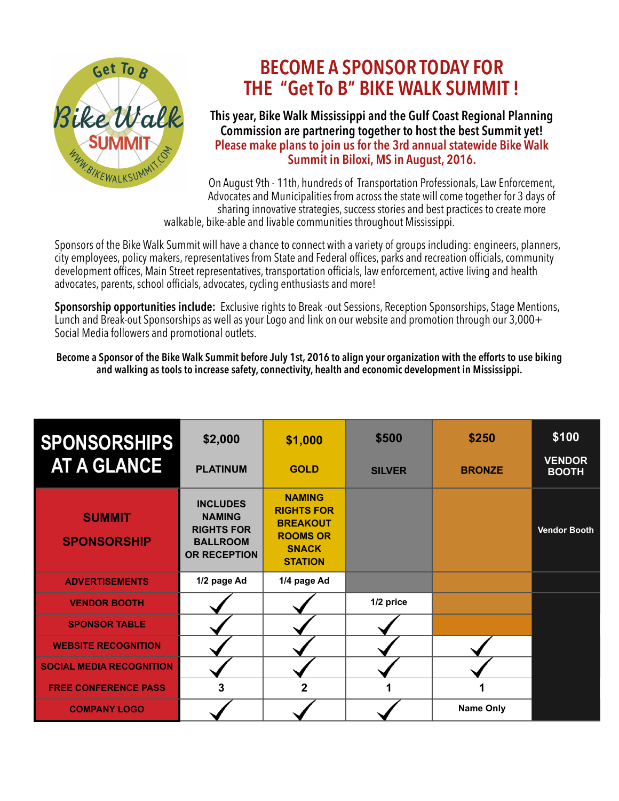

# **BECOME A SPONSOR TODAY FOR THE "Get To B" BIKE WALK SUMMIT !**

## **This year, Bike Walk Mississippi and the Gulf Coast Regional Planning Commission are partnering together to host the best Summit yet! Please make plans to join us for the 3rd annual statewide Bike Walk Summit in Biloxi, MS in August, 2016.**

On August 9th - 11th, hundreds of Transportation Professionals, Law Enforcement, Advocates and Municipalities from across the state will come together for 3 days of sharing innovative strategies, success stories and best practices to create more walkable, bike-able and livable communities throughout Mississippi.

Sponsors of the Bike Walk Summit will have a chance to connect with a variety of groups including: engineers, planners, city employees, policy makers, representatives from State and Federal offices, parks and recreation officials, community development offices, Main Street representatives, transportation officials, law enforcement, active living and health advocates, parents, school officials, advocates, cycling enthusiasts and more!

**Sponsorship opportunities include:** Exclusive rights to Break -out Sessions, Reception Sponsorships, Stage Mentions, Lunch and Break-out Sponsorships as well as your Logo and link on our website and promotion through our 3,000+ Social Media followers and promotional outlets.

**Become a Sponsor of the Bike Walk Summit before July 1st, 2016 to align your organization with the efforts to use biking and walking as tools to increase safety, connectivity, health and economic development in Mississippi.** 

| <b>SPONSORSHIPS</b>                 | \$2,000                                                                                         | \$1,000                                                                                                    | \$500         | \$250            | \$100                         |
|-------------------------------------|-------------------------------------------------------------------------------------------------|------------------------------------------------------------------------------------------------------------|---------------|------------------|-------------------------------|
| <b>AT A GLANCE</b>                  | <b>PLATINUM</b>                                                                                 | <b>GOLD</b>                                                                                                | <b>SILVER</b> | <b>BRONZE</b>    | <b>VENDOR</b><br><b>BOOTH</b> |
| <b>SUMMIT</b><br><b>SPONSORSHIP</b> | <b>INCLUDES</b><br><b>NAMING</b><br><b>RIGHTS FOR</b><br><b>BALLROOM</b><br><b>OR RECEPTION</b> | <b>NAMING</b><br><b>RIGHTS FOR</b><br><b>BREAKOUT</b><br><b>ROOMS OR</b><br><b>SNACK</b><br><b>STATION</b> |               |                  | <b>Vendor Booth</b>           |
| <b>ADVERTISEMENTS</b>               | 1/2 page Ad                                                                                     | 1/4 page Ad                                                                                                |               |                  |                               |
| <b>VENDOR BOOTH</b>                 |                                                                                                 |                                                                                                            | 1/2 price     |                  |                               |
| <b>SPONSOR TABLE</b>                |                                                                                                 |                                                                                                            |               |                  |                               |
| <b>WEBSITE RECOGNITION</b>          |                                                                                                 |                                                                                                            |               |                  |                               |
| <b>SOCIAL MEDIA RECOGNITION</b>     |                                                                                                 |                                                                                                            |               |                  |                               |
| <b>FREE CONFERENCE PASS</b>         | 3                                                                                               | $\mathbf{2}$                                                                                               |               | 1                |                               |
| <b>COMPANY LOGO</b>                 |                                                                                                 |                                                                                                            |               | <b>Name Only</b> |                               |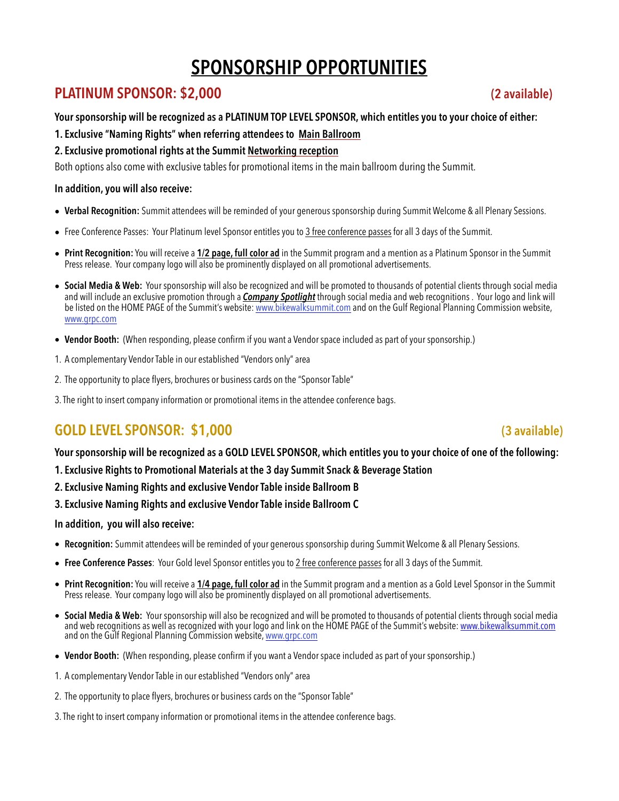# **SPONSORSHIP OPPORTUNITIES**

# **PLATINUM SPONSOR: \$2,000 (2 available)**

**Your sponsorship will be recognized as a PLATINUM TOP LEVEL SPONSOR, which entitles you to your choice of either:** 

**1. Exclusive "Naming Rights" when referring attendees to Main Ballroom** 

### **2. Exclusive promotional rights at the Summit Networking reception**

Both options also come with exclusive tables for promotional items in the main ballroom during the Summit.

### **In addition, you will also receive:**

- **Verbal Recognition:** Summit attendees will be reminded of your generous sponsorship during Summit Welcome & all Plenary Sessions.
- Free Conference Passes: Your Platinum level Sponsor entitles you to 3 free conference passes for all 3 days of the Summit.
- **Print Recognition:** You will receive a **1/2 page, full color ad** in the Summit program and a mention as a Platinum Sponsor in the Summit Press release. Your company logo will also be prominently displayed on all promotional advertisements.
- **Social Media & Web:** Your sponsorship will also be recognized and will be promoted to thousands of potential clients through social media and will include an exclusive promotion through a *Company Spotlight* through social media and web recognitions . Your logo and link will be listed on the HOME PAGE of the Summit's website: [www.bikewalksummit.com](http://www.msbikesummit.com) and on the Gulf Regional Planning Commission website, [www.grpc.com](http://www.grpc.com)
- **Vendor Booth:** (When responding, please confirm if you want a Vendor space included as part of your sponsorship.)
- 1. A complementary Vendor Table in our established "Vendors only" area
- 2. The opportunity to place flyers, brochures or business cards on the "Sponsor Table"
- 3. The right to insert company information or promotional items in the attendee conference bags.

# **GOLD LEVEL SPONSOR: \$1,000** (3 available)

**Your sponsorship will be recognized as a GOLD LEVEL SPONSOR, which entitles you to your choice of one of the following:** 

- **1. Exclusive Rights to Promotional Materials at the 3 day Summit Snack & Beverage Station**
- **2. Exclusive Naming Rights and exclusive Vendor Table inside Ballroom B**
- **3. Exclusive Naming Rights and exclusive Vendor Table inside Ballroom C**

#### **In addition, you will also receive:**

- **Recognition:** Summit attendees will be reminded of your generous sponsorship during Summit Welcome & all Plenary Sessions.
- **Free Conference Passes**: Your Gold level Sponsor entitles you to 2 free conference passes for all 3 days of the Summit.
- **Print Recognition:** You will receive a **1/4 page, full color ad** in the Summit program and a mention as a Gold Level Sponsor in the Summit Press release. Your company logo will also be prominently displayed on all promotional advertisements.
- **Social Media & Web:** Your sponsorship will also be recognized and will be promoted to thousands of potential clients through social media and web recognitions as well as recognized with your logo and link on the HOME PAGE of the Summit's website: [www.bikewalksummit.com](http://www.msbikesummit.com) and on the Gulf Regional Planning Commission website, [www.grpc.com](http://www.grpc.com)
- **Vendor Booth:** (When responding, please confirm if you want a Vendor space included as part of your sponsorship.)
- 1. A complementary Vendor Table in our established "Vendors only" area
- 2. The opportunity to place flyers, brochures or business cards on the "Sponsor Table"
- 3. The right to insert company information or promotional items in the attendee conference bags.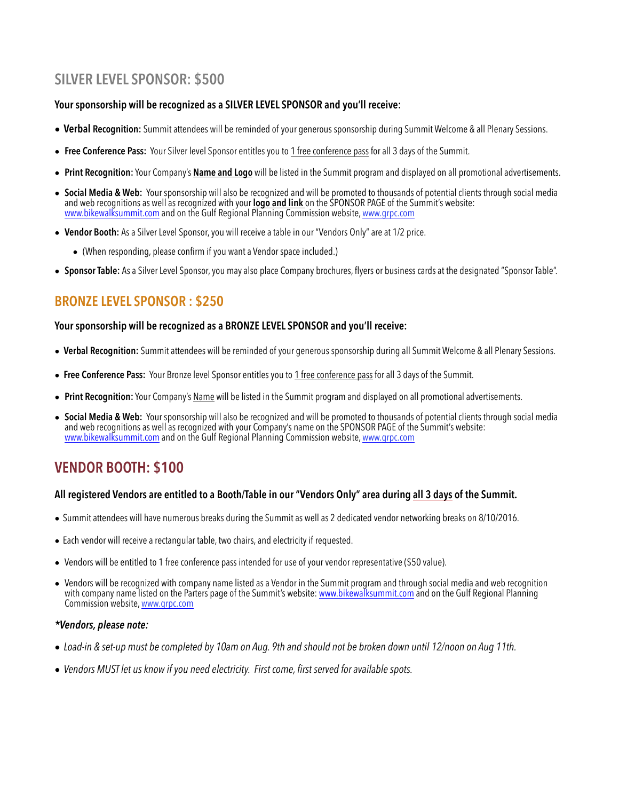# **SILVER LEVEL SPONSOR: \$500**

### **Your sponsorship will be recognized as a SILVER LEVEL SPONSOR and you'll receive:**

- **• Verbal Recognition:** Summit attendees will be reminded of your generous sponsorship during Summit Welcome & all Plenary Sessions.
- **• Free Conference Pass:** Your Silver level Sponsor entitles you to 1 free conference pass for all 3 days of the Summit.
- **Print Recognition:** Your Company's **Name and Logo** will be listed in the Summit program and displayed on all promotional advertisements.
- **Social Media & Web:** Your sponsorship will also be recognized and will be promoted to thousands of potential clients through social media and web recognitions as well as recognized with your **logo and link** on the SPONSOR PAGE of the Summit's website: <u>[www.bikewalksummit.com](http://www.msbikesummit.com)</u> and on the Gulf Regional Planning Commission website, <u>[www.grpc.com](http://www.grpc.com)</u>
- **Vendor Booth:** As a Silver Level Sponsor, you will receive a table in our "Vendors Only" are at 1/2 price.
	- (When responding, please confirm if you want a Vendor space included.)
- **Sponsor Table:** As a Silver Level Sponsor, you may also place Company brochures, flyers or business cards at the designated "Sponsor Table".

## **BRONZE LEVEL SPONSOR : \$250**

#### **Your sponsorship will be recognized as a BRONZE LEVEL SPONSOR and you'll receive:**

- **• Verbal Recognition:** Summit attendees will be reminded of your generous sponsorship during all Summit Welcome & all Plenary Sessions.
- **• Free Conference Pass:** Your Bronze level Sponsor entitles you to 1 free conference pass for all 3 days of the Summit.
- **Print Recognition:** Your Company's Name will be listed in the Summit program and displayed on all promotional advertisements.
- Social Media & Web: Your sponsorship will also be recognized and will be promoted to thousands of potential clients through social media<br>and web recognitions as well as recognized with your Company's name on the SPONSOR <u>[www.bikewalksummit.com](http://www.msbikesummit.com)</u> and on the Gulf Regional Planning Commission website, <u>[www.grpc.com](http://www.grpc.com)</u>

# **VENDOR BOOTH: \$100**

#### **All registered Vendors are entitled to a Booth/Table in our "Vendors Only" area during all 3 days of the Summit.**

- Summit attendees will have numerous breaks during the Summit as well as 2 dedicated vendor networking breaks on 8/10/2016.
- Each vendor will receive a rectangular table, two chairs, and electricity if requested.
- Vendors will be entitled to 1 free conference pass intended for use of your vendor representative (\$50 value).
- Vendors will be recognized with company name listed as a Vendor in the Summit program and through social media and web recognition with company name listed on the Parters page of the Summit's website: [www.bikewalksummit.com](http://www.msbikesummit.com) and on the Gulf Regional Planning Commission website, [www.grpc.com](http://www.grpc.com)

#### *\*Vendors, please note:*

- *Load-in & set-up must be completed by 10am on Aug. 9th and should not be broken down until 12/noon on Aug 11th.*
- *• Vendors MUST let us know if you need electricity. First come, first served for available spots.*